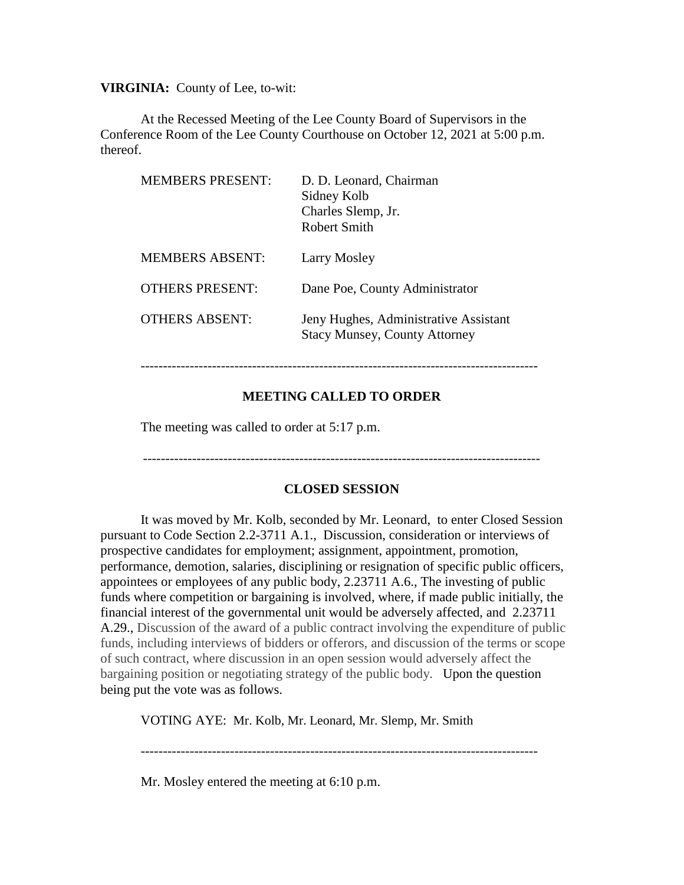**VIRGINIA:** County of Lee, to-wit:

At the Recessed Meeting of the Lee County Board of Supervisors in the Conference Room of the Lee County Courthouse on October 12, 2021 at 5:00 p.m. thereof.

| <b>MEMBERS PRESENT:</b> | D. D. Leonard, Chairman<br>Sidney Kolb<br>Charles Slemp, Jr.<br>Robert Smith  |
|-------------------------|-------------------------------------------------------------------------------|
| <b>MEMBERS ABSENT:</b>  | Larry Mosley                                                                  |
| <b>OTHERS PRESENT:</b>  | Dane Poe, County Administrator                                                |
| OTHERS ABSENT:          | Jeny Hughes, Administrative Assistant<br><b>Stacy Munsey, County Attorney</b> |

# **MEETING CALLED TO ORDER**

-----------------------------------------------------------------------------------------

The meeting was called to order at 5:17 p.m.

-----------------------------------------------------------------------------------------

#### **CLOSED SESSION**

It was moved by Mr. Kolb, seconded by Mr. Leonard, to enter Closed Session pursuant to Code Section 2.2-3711 A.1., Discussion, consideration or interviews of prospective candidates for employment; assignment, appointment, promotion, performance, demotion, salaries, disciplining or resignation of specific public officers, appointees or employees of any public body, 2.23711 A.6., The investing of public funds where competition or bargaining is involved, where, if made public initially, the financial interest of the governmental unit would be adversely affected, and 2.23711 A.29., Discussion of the award of a public contract involving the expenditure of public funds, including interviews of bidders or offerors, and discussion of the terms or scope of such contract, where discussion in an open session would adversely affect the bargaining position or negotiating strategy of the public body. Upon the question being put the vote was as follows.

VOTING AYE: Mr. Kolb, Mr. Leonard, Mr. Slemp, Mr. Smith

-----------------------------------------------------------------------------------------

Mr. Mosley entered the meeting at 6:10 p.m.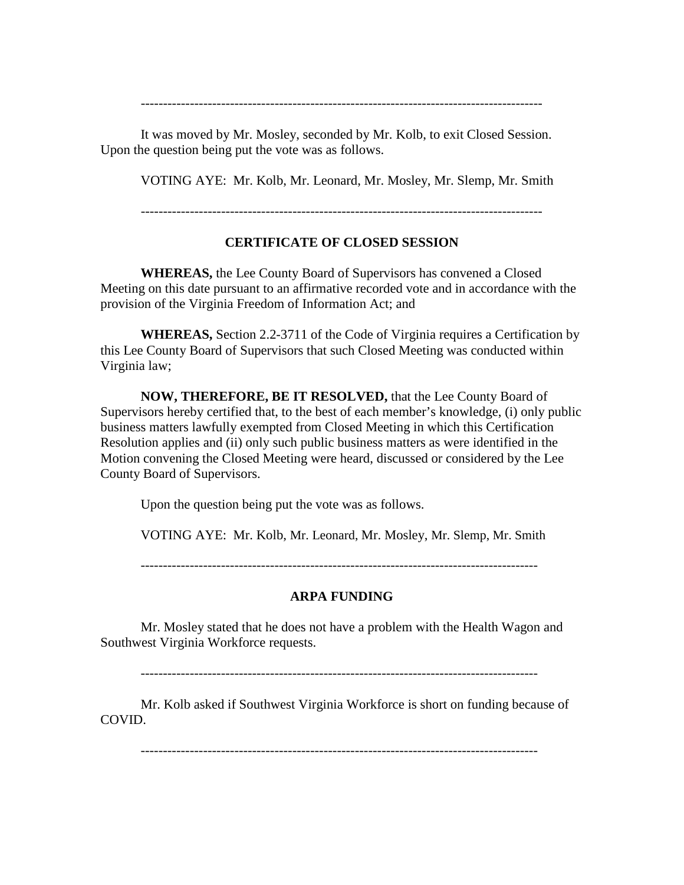It was moved by Mr. Mosley, seconded by Mr. Kolb, to exit Closed Session. Upon the question being put the vote was as follows.

VOTING AYE: Mr. Kolb, Mr. Leonard, Mr. Mosley, Mr. Slemp, Mr. Smith

------------------------------------------------------------------------------------------

------------------------------------------------------------------------------------------

# **CERTIFICATE OF CLOSED SESSION**

**WHEREAS,** the Lee County Board of Supervisors has convened a Closed Meeting on this date pursuant to an affirmative recorded vote and in accordance with the provision of the Virginia Freedom of Information Act; and

**WHEREAS,** Section 2.2-3711 of the Code of Virginia requires a Certification by this Lee County Board of Supervisors that such Closed Meeting was conducted within Virginia law;

**NOW, THEREFORE, BE IT RESOLVED,** that the Lee County Board of Supervisors hereby certified that, to the best of each member's knowledge, (i) only public business matters lawfully exempted from Closed Meeting in which this Certification Resolution applies and (ii) only such public business matters as were identified in the Motion convening the Closed Meeting were heard, discussed or considered by the Lee County Board of Supervisors.

Upon the question being put the vote was as follows.

VOTING AYE: Mr. Kolb, Mr. Leonard, Mr. Mosley, Mr. Slemp, Mr. Smith

-----------------------------------------------------------------------------------------

# **ARPA FUNDING**

Mr. Mosley stated that he does not have a problem with the Health Wagon and Southwest Virginia Workforce requests.

-----------------------------------------------------------------------------------------

Mr. Kolb asked if Southwest Virginia Workforce is short on funding because of COVID.

-----------------------------------------------------------------------------------------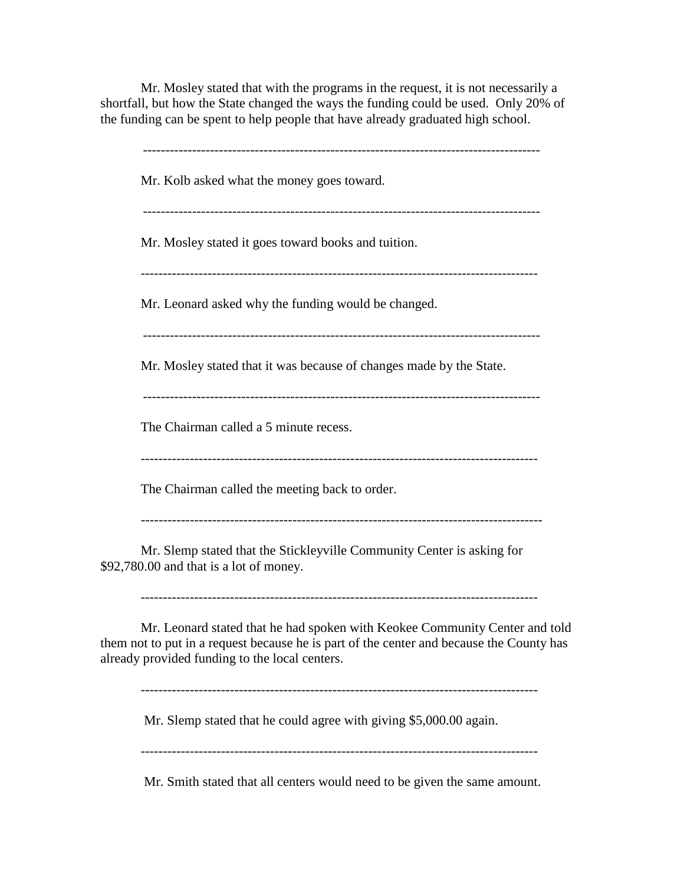Mr. Mosley stated that with the programs in the request, it is not necessarily a shortfall, but how the State changed the ways the funding could be used. Only 20% of the funding can be spent to help people that have already graduated high school.

----------------------------------------------------------------------------------------- Mr. Kolb asked what the money goes toward. ----------------------------------------------------------------------------------------- Mr. Mosley stated it goes toward books and tuition. ----------------------------------------------------------------------------------------- Mr. Leonard asked why the funding would be changed. ----------------------------------------------------------------------------------------- Mr. Mosley stated that it was because of changes made by the State. ----------------------------------------------------------------------------------------- The Chairman called a 5 minute recess. ----------------------------------------------------------------------------------------- The Chairman called the meeting back to order. ------------------------------------------------------------------------------------------

Mr. Slemp stated that the Stickleyville Community Center is asking for \$92,780.00 and that is a lot of money.

-----------------------------------------------------------------------------------------

Mr. Leonard stated that he had spoken with Keokee Community Center and told them not to put in a request because he is part of the center and because the County has already provided funding to the local centers.

-----------------------------------------------------------------------------------------

Mr. Slemp stated that he could agree with giving \$5,000.00 again.

-----------------------------------------------------------------------------------------

Mr. Smith stated that all centers would need to be given the same amount.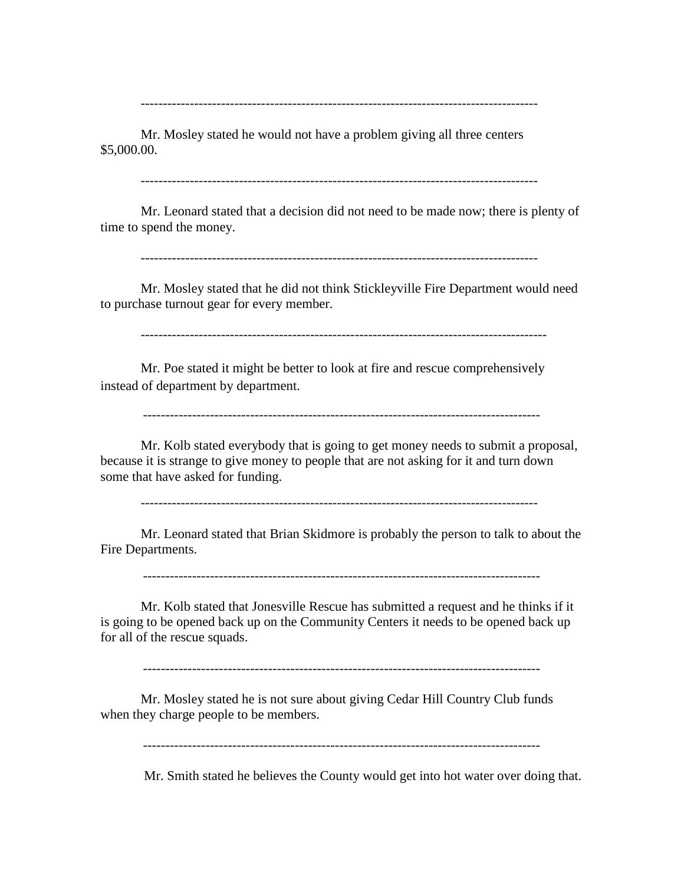-----------------------------------------------------------------------------------------

Mr. Mosley stated he would not have a problem giving all three centers \$5,000.00.

-----------------------------------------------------------------------------------------

Mr. Leonard stated that a decision did not need to be made now; there is plenty of time to spend the money.

-----------------------------------------------------------------------------------------

Mr. Mosley stated that he did not think Stickleyville Fire Department would need to purchase turnout gear for every member.

-------------------------------------------------------------------------------------------

Mr. Poe stated it might be better to look at fire and rescue comprehensively instead of department by department.

-----------------------------------------------------------------------------------------

Mr. Kolb stated everybody that is going to get money needs to submit a proposal, because it is strange to give money to people that are not asking for it and turn down some that have asked for funding.

-----------------------------------------------------------------------------------------

Mr. Leonard stated that Brian Skidmore is probably the person to talk to about the Fire Departments.

-----------------------------------------------------------------------------------------

Mr. Kolb stated that Jonesville Rescue has submitted a request and he thinks if it is going to be opened back up on the Community Centers it needs to be opened back up for all of the rescue squads.

Mr. Mosley stated he is not sure about giving Cedar Hill Country Club funds when they charge people to be members.

-----------------------------------------------------------------------------------------

Mr. Smith stated he believes the County would get into hot water over doing that.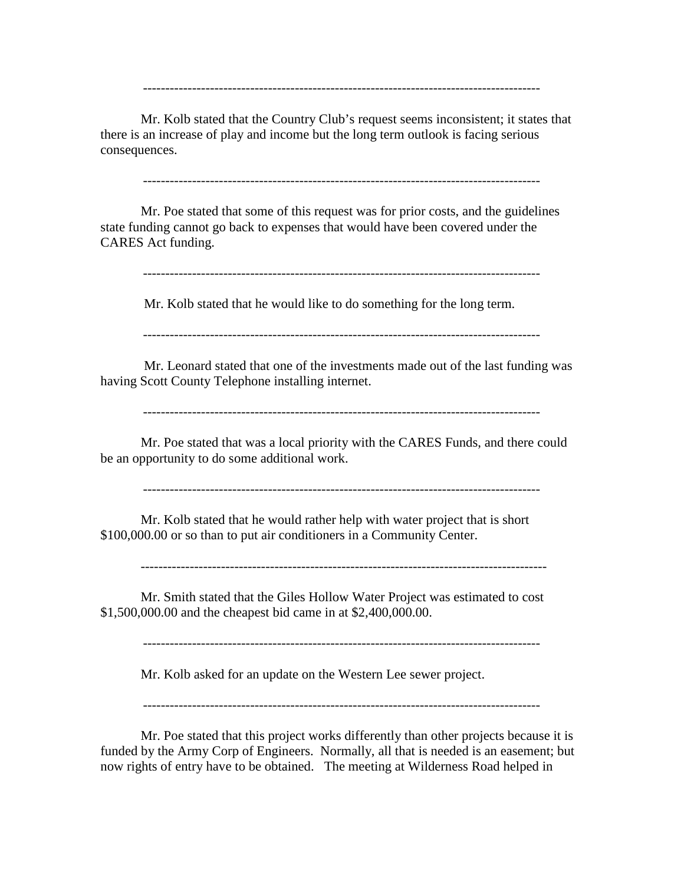-----------------------------------------------------------------------------------------

Mr. Kolb stated that the Country Club's request seems inconsistent; it states that there is an increase of play and income but the long term outlook is facing serious consequences.

-----------------------------------------------------------------------------------------

Mr. Poe stated that some of this request was for prior costs, and the guidelines state funding cannot go back to expenses that would have been covered under the CARES Act funding.

-----------------------------------------------------------------------------------------

Mr. Kolb stated that he would like to do something for the long term.

Mr. Leonard stated that one of the investments made out of the last funding was having Scott County Telephone installing internet.

Mr. Poe stated that was a local priority with the CARES Funds, and there could be an opportunity to do some additional work.

-----------------------------------------------------------------------------------------

Mr. Kolb stated that he would rather help with water project that is short \$100,000.00 or so than to put air conditioners in a Community Center.

-------------------------------------------------------------------------------------------

Mr. Smith stated that the Giles Hollow Water Project was estimated to cost \$1,500,000.00 and the cheapest bid came in at \$2,400,000.00.

-----------------------------------------------------------------------------------------

Mr. Kolb asked for an update on the Western Lee sewer project.

-----------------------------------------------------------------------------------------

Mr. Poe stated that this project works differently than other projects because it is funded by the Army Corp of Engineers. Normally, all that is needed is an easement; but now rights of entry have to be obtained. The meeting at Wilderness Road helped in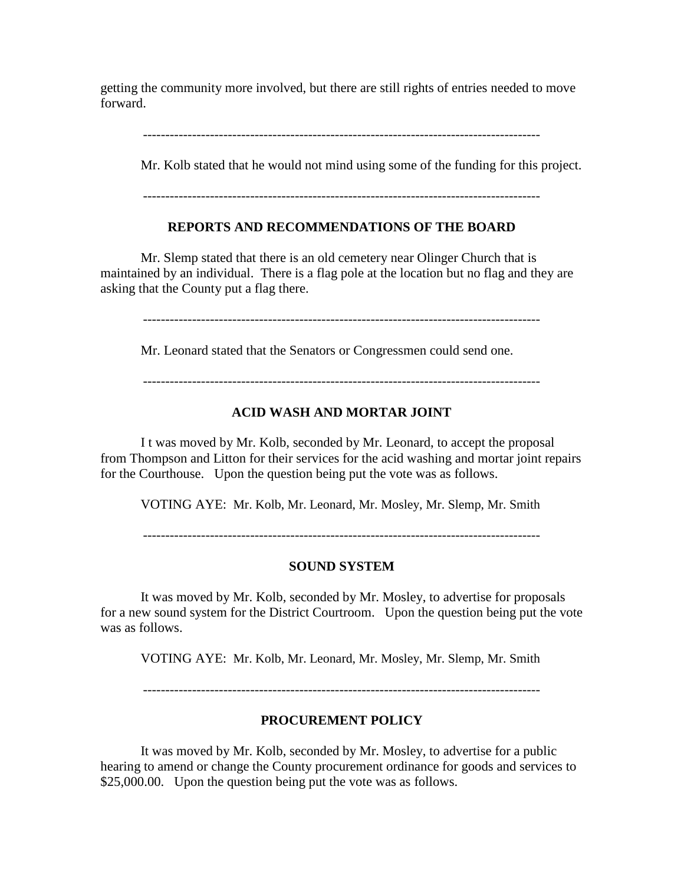getting the community more involved, but there are still rights of entries needed to move forward.

-----------------------------------------------------------------------------------------

Mr. Kolb stated that he would not mind using some of the funding for this project.

-----------------------------------------------------------------------------------------

#### **REPORTS AND RECOMMENDATIONS OF THE BOARD**

Mr. Slemp stated that there is an old cemetery near Olinger Church that is maintained by an individual. There is a flag pole at the location but no flag and they are asking that the County put a flag there.

-----------------------------------------------------------------------------------------

Mr. Leonard stated that the Senators or Congressmen could send one.

-----------------------------------------------------------------------------------------

## **ACID WASH AND MORTAR JOINT**

I t was moved by Mr. Kolb, seconded by Mr. Leonard, to accept the proposal from Thompson and Litton for their services for the acid washing and mortar joint repairs for the Courthouse. Upon the question being put the vote was as follows.

VOTING AYE: Mr. Kolb, Mr. Leonard, Mr. Mosley, Mr. Slemp, Mr. Smith

-----------------------------------------------------------------------------------------

#### **SOUND SYSTEM**

It was moved by Mr. Kolb, seconded by Mr. Mosley, to advertise for proposals for a new sound system for the District Courtroom. Upon the question being put the vote was as follows.

VOTING AYE: Mr. Kolb, Mr. Leonard, Mr. Mosley, Mr. Slemp, Mr. Smith

-----------------------------------------------------------------------------------------

# **PROCUREMENT POLICY**

It was moved by Mr. Kolb, seconded by Mr. Mosley, to advertise for a public hearing to amend or change the County procurement ordinance for goods and services to \$25,000.00. Upon the question being put the vote was as follows.